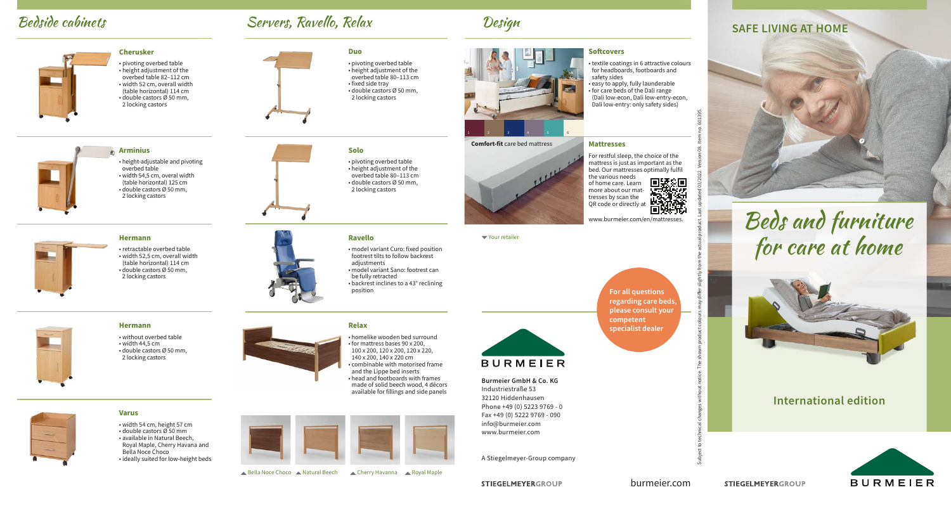## **Bedside cabinets** Servers, Ravello, Relax Design Servers, Ravello, Relax SAFE LIVING AT HOME

**Duo**

**Solo**

**Ravello**

adjustments

position

be fully retracted

• pivoting overbed table • height adjustment of the overbed table 80–113 cm • fixed side tray • double castors Ø 50 mm, 2 locking castors

• pivoting overbed table • height adjustment of the overbed table 80–113 cm • double castors Ø 50 mm, 2 locking castors



• textile coatings in 6 attractive colours for headboards, footboards and safety sides

**Softcovers**

**Mattresses**

• easy to apply, fully launderable • for care beds of the Dali range (Dali low-econ, Dali low-entry-econ, Dali low-entry: only safety sides)

**Comfort-fit** care bed mattress



For restful sleep, the choice of the mattress is just as important as the bed. Our mattresses optimally fulfil the various needs **国家国**<br>法党会 of home care. Learn more about our mattresses by scan the 酶 QR code or directly at ПI 77. TE

www.burmeier.com/en/mattresses.

Your retailer



### **BURMEIER**

**Burmeier GmbH & Co. KG** Industriestraße 53 32120 Hiddenhausen Phone +49 (0) 5223 9769 - 0 Fax +49 (0) 5222 9769 - 090 info@burmeier.com www.burmeier.com

A Stiegelmeyer-Group company

**STIEGELMEYERGROUP** 



# Beds and furniture for care at home



### **International edition**



**Hermann** • without overbed table • width 44,5 cm

• double castors Ø 50 mm, 2 locking castors



## **Relax**

• homelike wooden bed surround • for mattress bases 90 x 200, 100 x 200, 120 x 200, 120 x 220, 140 x 200, 140 x 220 cm • combinable with motorised frame and the Lippe bed inserts • head and footboards with frames made of solid beech wood, 4 décors available for fillings and side panels

• model variant Curo: fixed position footrest tilts to follow backrest

• model variant Sano: footrest can

• backrest inclines to a 43° reclining



A Bella Noce Choco A Natural Beech A Cherry Havanna A Royal Maple



**Arminius**

overbed table

• height-adjustable and pivoting

**Cherusker**

• pivoting overbed table • height adjustment of the overbed table 82–112 cm • width 52 cm, overall width (table horizontal) 114 cm  $\cdot$  double castors  $\emptyset$  50 mm. 2 locking castors

• retractable overbed table • width 52,5 cm, overall width (table horizontal) 114 cm • double castors Ø 50 mm, 2 locking castors



**Varus**



• width 54 cm, height 57 cm • double castors Ø 50 mm • available in Natural Beech, Royal Maple, Cherry Havana and Bella Noce Choco • ideally suited for low-height beds

burmeier.com